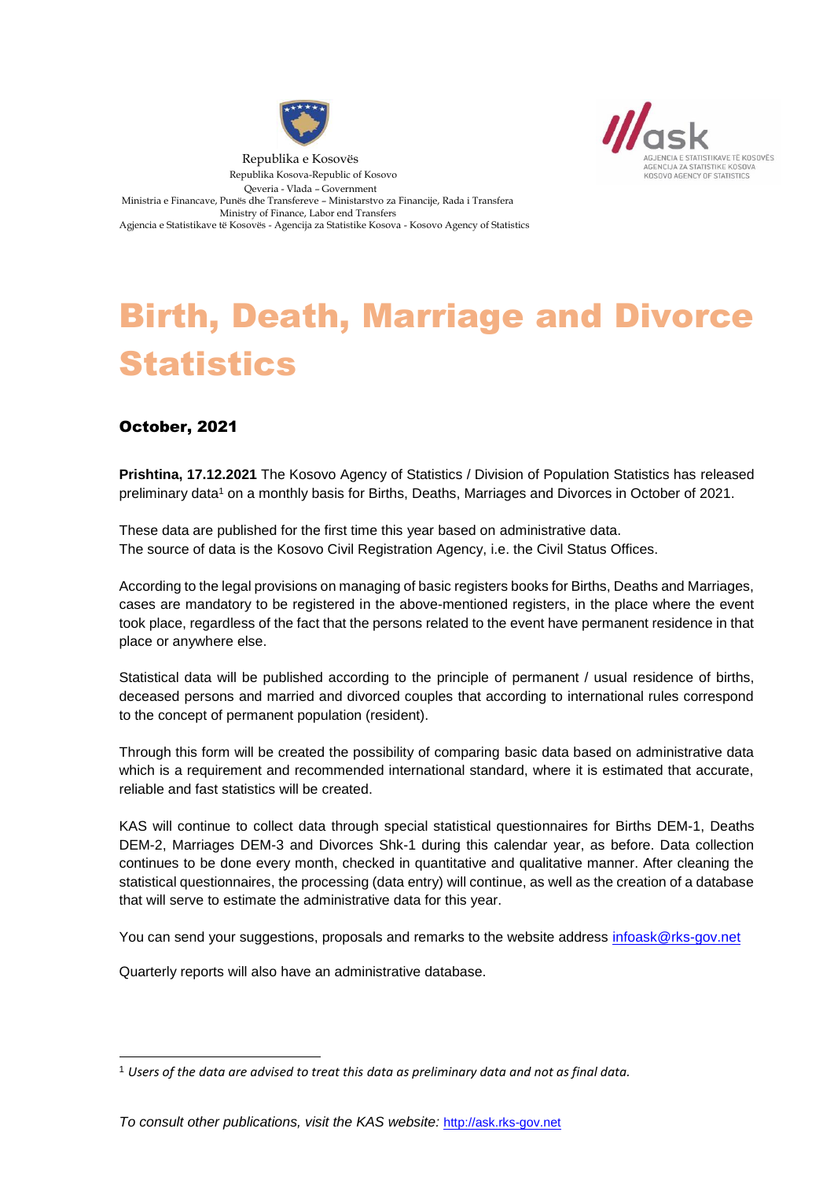



 Republika e Kosovës Republika Kosova-Republic of Kosovo Qeveria - Vlada – Government Ministria e Financave, Punës dhe Transfereve – Ministarstvo za Financije, Rada i Transfera Ministry of Finance, Labor end Transfers Agjencia e Statistikave të Kosovës - Agencija za Statistike Kosova - Kosovo Agency of Statistics

# Birth, Death, Marriage and Divorce **Statistics**

#### October, 2021

1

**Prishtina, 17.12.2021** The Kosovo Agency of Statistics / Division of Population Statistics has released preliminary data<sup>1</sup> on a monthly basis for Births, Deaths, Marriages and Divorces in October of 2021.

These data are published for the first time this year based on administrative data. The source of data is the Kosovo Civil Registration Agency, i.e. the Civil Status Offices.

According to the legal provisions on managing of basic registers books for Births, Deaths and Marriages, cases are mandatory to be registered in the above-mentioned registers, in the place where the event took place, regardless of the fact that the persons related to the event have permanent residence in that place or anywhere else.

Statistical data will be published according to the principle of permanent / usual residence of births, deceased persons and married and divorced couples that according to international rules correspond to the concept of permanent population (resident).

Through this form will be created the possibility of comparing basic data based on administrative data which is a requirement and recommended international standard, where it is estimated that accurate, reliable and fast statistics will be created.

KAS will continue to collect data through special statistical questionnaires for Births DEM-1, Deaths DEM-2, Marriages DEM-3 and Divorces Shk-1 during this calendar year, as before. Data collection continues to be done every month, checked in quantitative and qualitative manner. After cleaning the statistical questionnaires, the processing (data entry) will continue, as well as the creation of a database that will serve to estimate the administrative data for this year.

You can send your suggestions, proposals and remarks to the website address [infoask@rks-gov.net](mailto:infoask@rks-gov.net)

Quarterly reports will also have an administrative database.

<sup>1</sup> *Users of the data are advised to treat this data as preliminary data and not as final data.*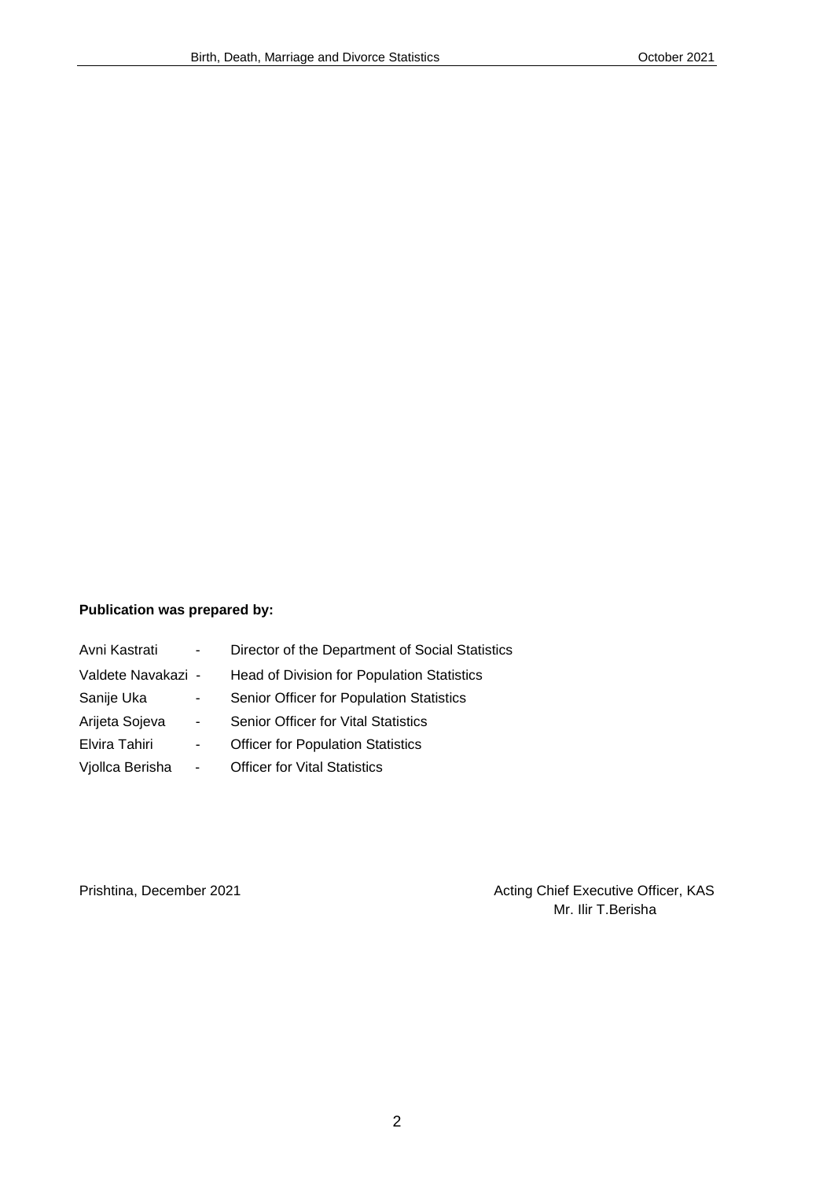#### **Publication was prepared by:**

| Avni Kastrati      | $\blacksquare$               | Director of the Department of Social Statistics |
|--------------------|------------------------------|-------------------------------------------------|
| Valdete Navakazi - |                              | Head of Division for Population Statistics      |
| Sanije Uka         | $\blacksquare$               | Senior Officer for Population Statistics        |
| Arijeta Sojeva     | $\blacksquare$               | <b>Senior Officer for Vital Statistics</b>      |
| Elvira Tahiri      | $\qquad \qquad \blacksquare$ | <b>Officer for Population Statistics</b>        |
| Vjollca Berisha    | $\overline{\phantom{a}}$     | <b>Officer for Vital Statistics</b>             |

Prishtina, December 2021 **Acting Chief Executive Officer, KAS** Mr. Ilir T.Berisha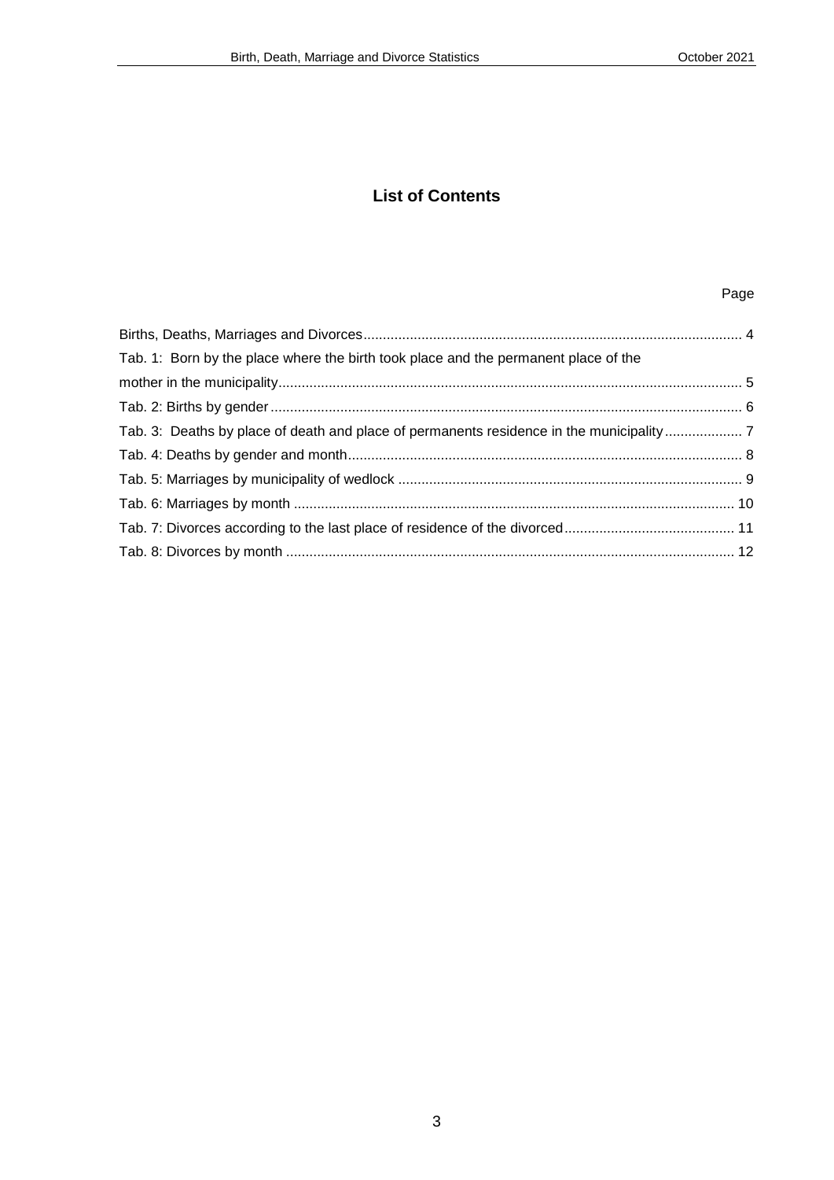#### **List of Contents**

#### Page

| Tab. 1: Born by the place where the birth took place and the permanent place of the |  |
|-------------------------------------------------------------------------------------|--|
|                                                                                     |  |
|                                                                                     |  |
|                                                                                     |  |
|                                                                                     |  |
|                                                                                     |  |
|                                                                                     |  |
|                                                                                     |  |
|                                                                                     |  |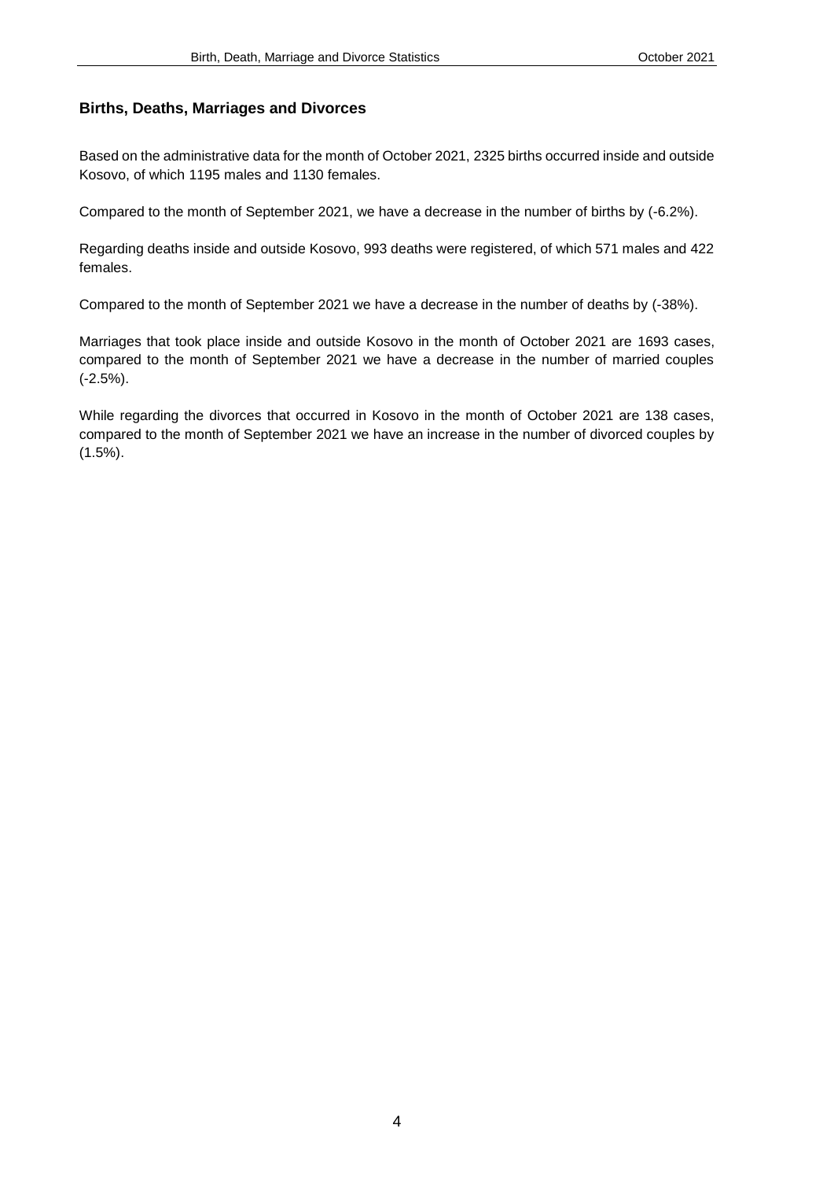#### <span id="page-3-0"></span>**Births, Deaths, Marriages and Divorces**

Based on the administrative data for the month of October 2021, 2325 births occurred inside and outside Kosovo, of which 1195 males and 1130 females.

Compared to the month of September 2021, we have a decrease in the number of births by (-6.2%).

Regarding deaths inside and outside Kosovo, 993 deaths were registered, of which 571 males and 422 females.

Compared to the month of September 2021 we have a decrease in the number of deaths by (-38%).

Marriages that took place inside and outside Kosovo in the month of October 2021 are 1693 cases, compared to the month of September 2021 we have a decrease in the number of married couples (-2.5%).

While regarding the divorces that occurred in Kosovo in the month of October 2021 are 138 cases, compared to the month of September 2021 we have an increase in the number of divorced couples by (1.5%).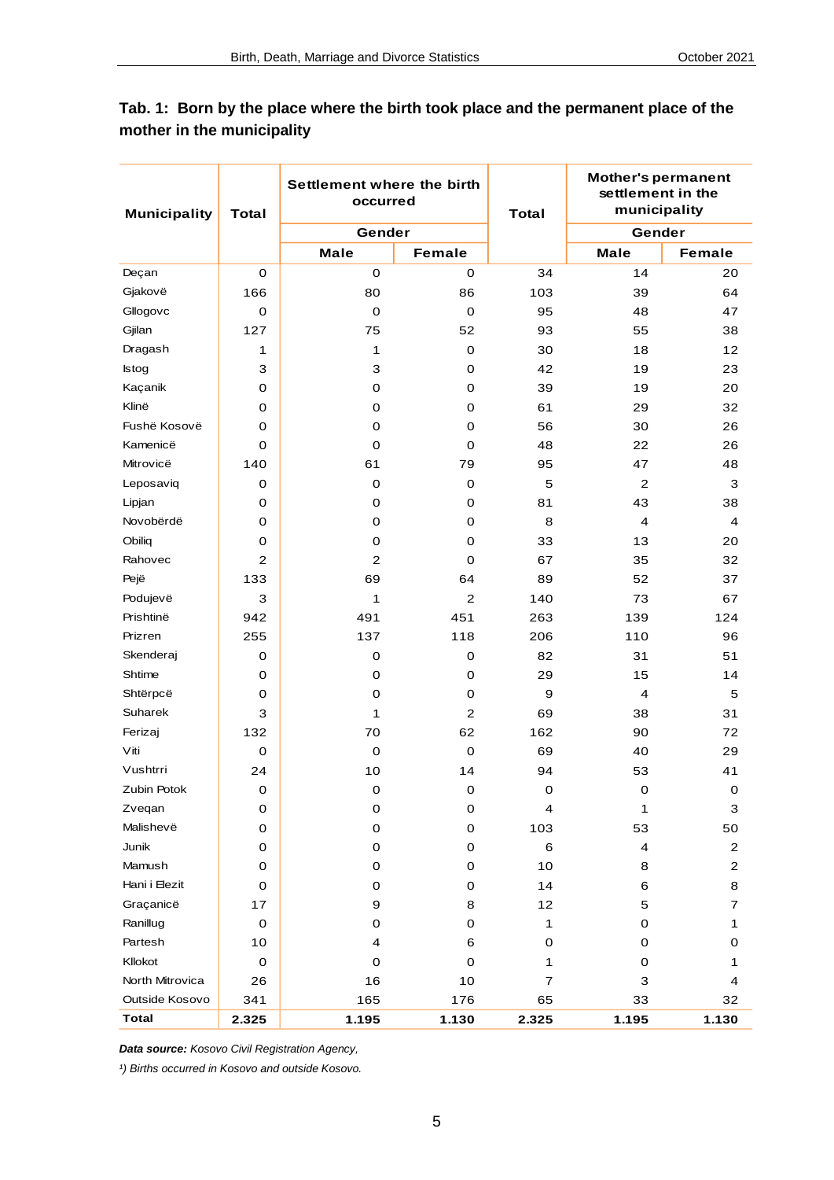| <b>Municipality</b> | <b>Total</b> | Settlement where the birth<br>occurred |                | <b>Total</b>   | <b>Mother's permanent</b><br>settlement in the<br>municipality |                         |
|---------------------|--------------|----------------------------------------|----------------|----------------|----------------------------------------------------------------|-------------------------|
|                     |              | Gender                                 |                |                | Gender                                                         |                         |
|                     |              | <b>Male</b>                            | <b>Female</b>  |                | <b>Male</b>                                                    | <b>Female</b>           |
| Deçan               | $\mathbf 0$  | $\mathbf 0$                            | 0              | 34             | 14                                                             | 20                      |
| Gjakovë             | 166          | 80                                     | 86             | 103            | 39                                                             | 64                      |
| Gllogovc            | $\mathbf 0$  | $\mathbf 0$                            | $\mathbf 0$    | 95             | 48                                                             | 47                      |
| Gjilan              | 127          | 75                                     | 52             | 93             | 55                                                             | 38                      |
| Dragash             | 1            | 1                                      | $\mathbf 0$    | 30             | 18                                                             | 12                      |
| <b>Istog</b>        | 3            | 3                                      | $\mathbf 0$    | 42             | 19                                                             | 23                      |
| Kaçanik             | 0            | 0                                      | $\mathbf 0$    | 39             | 19                                                             | 20                      |
| Klinë               | 0            | 0                                      | 0              | 61             | 29                                                             | 32                      |
| Fushë Kosovë        | 0            | 0                                      | $\mathbf 0$    | 56             | 30                                                             | 26                      |
| Kamenicë            | $\mathbf 0$  | $\mathbf 0$                            | 0              | 48             | 22                                                             | 26                      |
| Mitrovicë           | 140          | 61                                     | 79             | 95             | 47                                                             | 48                      |
| Leposaviq           | $\mathbf 0$  | $\mathbf 0$                            | $\mathbf 0$    | 5              | $\overline{c}$                                                 | 3                       |
| Lipjan              | 0            | 0                                      | $\mathbf 0$    | 81             | 43                                                             | 38                      |
| Novobërdë           | 0            | 0                                      | $\mathbf 0$    | 8              | 4                                                              | 4                       |
| Obiliq              | 0            | $\mathbf 0$                            | 0              | 33             | 13                                                             | 20                      |
| Rahovec             | 2            | $\mathbf 2$                            | $\mathbf 0$    | 67             | 35                                                             | 32                      |
| Pejë                | 133          | 69                                     | 64             | 89             | 52                                                             | 37                      |
| Podujevë            | 3            | 1                                      | $\overline{c}$ | 140            | 73                                                             | 67                      |
| Prishtinë           | 942          | 491                                    | 451            | 263            | 139                                                            | 124                     |
| Prizren             | 255          | 137                                    | 118            | 206            | 110                                                            | 96                      |
| Skenderaj           | 0            | 0                                      | $\mathbf 0$    | 82             | 31                                                             | 51                      |
| Shtime              | 0            | 0                                      | 0              | 29             | 15                                                             | 14                      |
| Shtërpcë            | 0            | $\mathbf 0$                            | $\mathbf 0$    | 9              | 4                                                              | 5                       |
| Suharek             | 3            | 1                                      | $\mathbf{2}$   | 69             | 38                                                             | 31                      |
| Ferizaj             | 132          | 70                                     | 62             | 162            | 90                                                             | 72                      |
| Viti                | $\mathbf 0$  | $\mathbf 0$                            | $\mathbf 0$    | 69             | 40                                                             | 29                      |
| Vushtrri            | 24           | 10                                     | 14             | 94             | 53                                                             | 41                      |
| Zubin Potok         | $\mathbf 0$  | $\mathbf 0$                            | $\mathbf 0$    | $\mathbf 0$    | $\mathbf 0$                                                    | $\mathbf 0$             |
| Zvegan              | 0            | 0                                      | 0              | 4              | 1                                                              | 3                       |
| Malishevë           | 0            | $\mathbf 0$                            | $\mathbf 0$    | 103            | 53                                                             | 50                      |
| Junik               | 0            | 0                                      | 0              | 6              | 4                                                              | $\mathbf 2$             |
| Mamush              | 0            | 0                                      | 0              | 10             | 8                                                              | $\overline{\mathbf{c}}$ |
| Hani i Elezit       | 0            | 0                                      | 0              | 14             | 6                                                              | 8                       |
| Graçanicë           | 17           | 9                                      | 8              | 12             | 5                                                              | 7                       |
| Ranillug            | $\mathbf 0$  | 0                                      | 0              | 1              | $\mathbf 0$                                                    | 1                       |
| Partesh             | 10           | 4                                      | 6              | 0              | 0                                                              | 0                       |
| Kllokot             | 0            | 0                                      | 0              | 1              | 0                                                              | 1                       |
| North Mitrovica     | 26           | 16                                     | 10             | $\overline{7}$ | 3                                                              | 4                       |
| Outside Kosovo      | 341          | 165                                    | 176            | 65             | 33                                                             | 32                      |
| <b>Total</b>        | 2.325        | 1.195                                  | 1.130          | 2.325          | 1.195                                                          | 1.130                   |

#### <span id="page-4-0"></span>**Tab. 1: Born by the place where the birth took place and the permanent place of the mother in the municipality**

*Data source: Kosovo Civil Registration Agency,*

*¹) Births occurred in Kosovo and outside Kosovo.*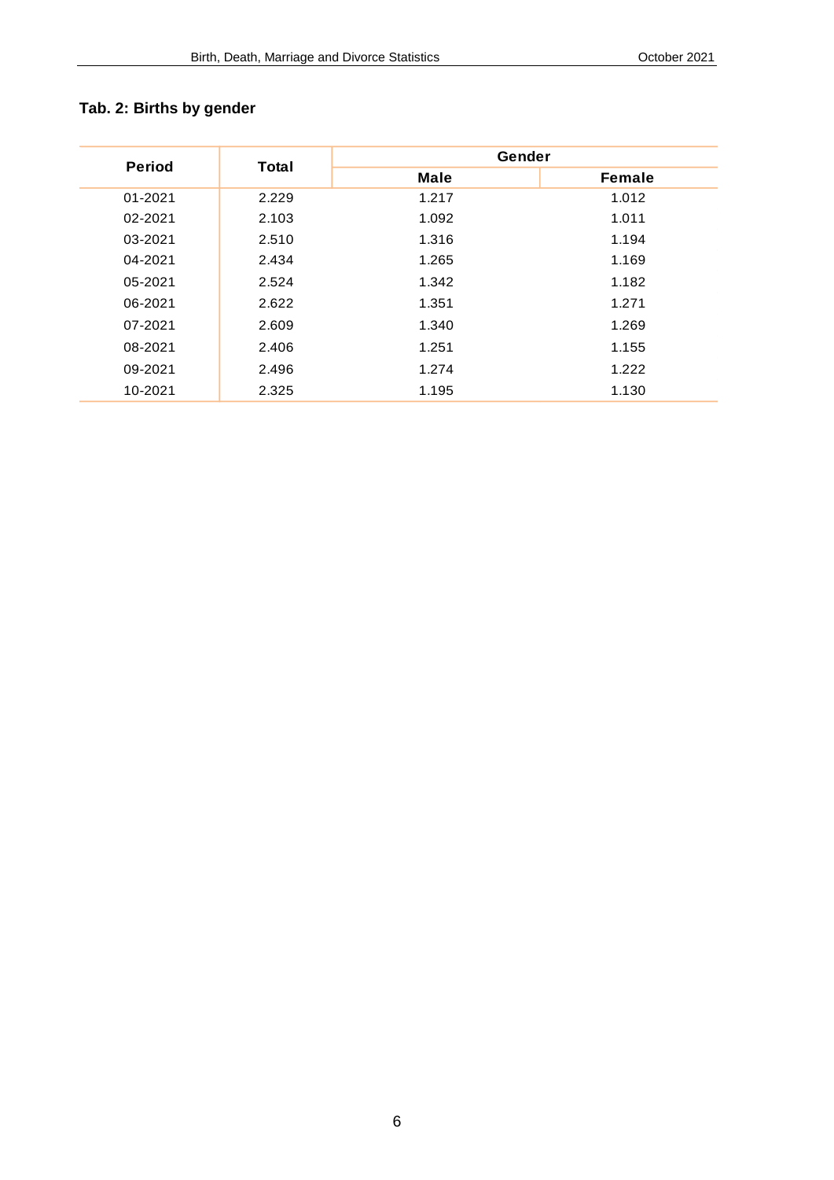## <span id="page-5-0"></span>**Tab. 2: Births by gender**

|               |       | Gender      |               |  |
|---------------|-------|-------------|---------------|--|
| <b>Period</b> | Total | <b>Male</b> | <b>Female</b> |  |
| 01-2021       | 2.229 | 1.217       | 1.012         |  |
| 02-2021       | 2.103 | 1.092       | 1.011         |  |
| 03-2021       | 2.510 | 1.316       | 1.194         |  |
| 04-2021       | 2.434 | 1.265       | 1.169         |  |
| 05-2021       | 2.524 | 1.342       | 1.182         |  |
| 06-2021       | 2.622 | 1.351       | 1.271         |  |
| 07-2021       | 2.609 | 1.340       | 1.269         |  |
| 08-2021       | 2.406 | 1.251       | 1.155         |  |
| 09-2021       | 2.496 | 1.274       | 1.222         |  |
| 10-2021       | 2.325 | 1.195       | 1.130         |  |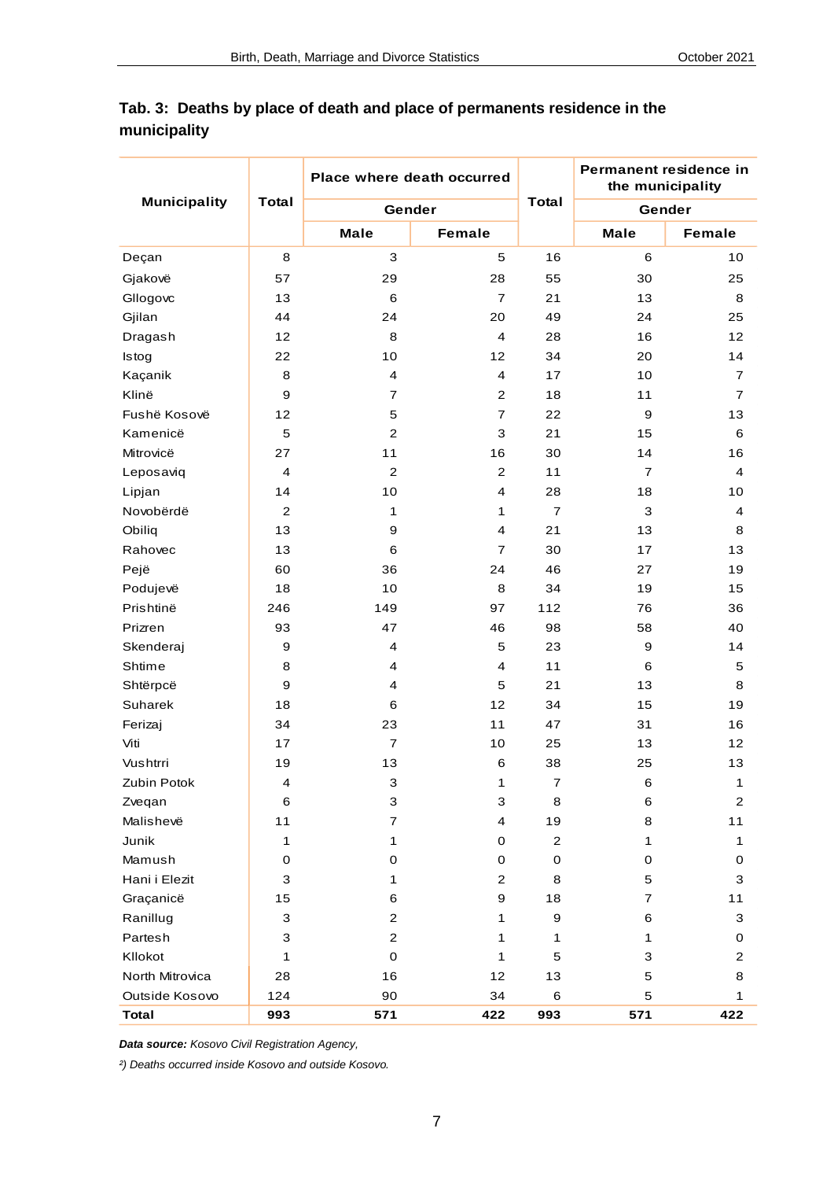|                     |                         | Place where death occurred |                         |                | Permanent residence in<br>the municipality |                         |  |
|---------------------|-------------------------|----------------------------|-------------------------|----------------|--------------------------------------------|-------------------------|--|
| <b>Municipality</b> | <b>Total</b>            | Gender                     |                         | <b>Total</b>   |                                            | Gender                  |  |
|                     |                         | <b>Male</b>                | Female                  |                | <b>Male</b>                                | Female                  |  |
| Deçan               | 8                       | 3                          | 5                       | 16             | 6                                          | 10                      |  |
| Gjakovë             | 57                      | 29                         | 28                      | 55             | 30                                         | 25                      |  |
| Gllogovc            | 13                      | 6                          | $\overline{7}$          | 21             | 13                                         | 8                       |  |
| Gjilan              | 44                      | 24                         | 20                      | 49             | 24                                         | 25                      |  |
| Dragash             | 12                      | 8                          | 4                       | 28             | 16                                         | 12                      |  |
| Istog               | 22                      | 10                         | 12                      | 34             | 20                                         | 14                      |  |
| Kaçanik             | 8                       | 4                          | 4                       | 17             | 10                                         | $\overline{7}$          |  |
| Klinë               | 9                       | $\overline{7}$             | $\overline{2}$          | 18             | 11                                         | $\overline{7}$          |  |
| Fushë Kosovë        | 12                      | 5                          | $\overline{\mathbf{7}}$ | 22             | 9                                          | 13                      |  |
| Kamenicë            | 5                       | $\boldsymbol{2}$           | 3                       | 21             | 15                                         | 6                       |  |
| Mitrovicë           | 27                      | 11                         | 16                      | 30             | 14                                         | 16                      |  |
| Leposaviq           | $\overline{4}$          | $\overline{c}$             | $\mathbf{2}$            | 11             | $\overline{7}$                             | $\overline{4}$          |  |
| Lipjan              | 14                      | 10                         | 4                       | 28             | 18                                         | 10                      |  |
| Novobërdë           | $\overline{2}$          | $\mathbf{1}$               | 1                       | $\overline{7}$ | 3                                          | $\overline{4}$          |  |
| Obiliq              | 13                      | 9                          | 4                       | 21             | 13                                         | 8                       |  |
| Rahovec             | 13                      | 6                          | $\overline{7}$          | 30             | 17                                         | 13                      |  |
| Pejë                | 60                      | 36                         | 24                      | 46             | 27                                         | 19                      |  |
| Podujevë            | 18                      | 10                         | 8                       | 34             | 19                                         | 15                      |  |
| Prishtinë           | 246                     | 149                        | 97                      | 112            | 76                                         | 36                      |  |
| Prizren             | 93                      | 47                         | 46                      | 98             | 58                                         | 40                      |  |
| Skenderaj           | 9                       | 4                          | 5                       | 23             | 9                                          | 14                      |  |
| Shtime              | 8                       | 4                          | 4                       | 11             | 6                                          | 5                       |  |
| Shtërpcë            | 9                       | 4                          | 5                       | 21             | 13                                         | 8                       |  |
| Suharek             | 18                      | 6                          | 12                      | 34             | 15                                         | 19                      |  |
| Ferizaj             | 34                      | 23                         | 11                      | 47             | 31                                         | 16                      |  |
| Viti                | 17                      | $\overline{7}$             | 10                      | 25             | 13                                         | 12                      |  |
| Vushtrri            | 19                      | 13                         | 6                       | 38             | 25                                         | 13                      |  |
| Zubin Potok         | $\overline{\mathbf{4}}$ | $\ensuremath{\mathsf{3}}$  | $\mathbf{1}$            | $\overline{7}$ | $\,6$                                      | $\mathbf{1}$            |  |
| Zveqan              | 6                       | 3                          | 3                       | 8              | 6                                          | $\mathbf{2}$            |  |
| Malishevë           | 11                      | $\overline{7}$             | 4                       | 19             | 8                                          | 11                      |  |
| Junik               | 1                       | 1                          | 0                       | $\mathbf{2}$   | 1                                          | 1                       |  |
| Mamush              | 0                       | 0                          | 0                       | $\mathbf 0$    | 0                                          | 0                       |  |
| Hani i Elezit       | 3                       | 1                          | $\mathbf{2}$            | 8              | 5                                          | 3                       |  |
| Graçanicë           | 15                      | 6                          | 9                       | 18             | $\overline{7}$                             | 11                      |  |
| Ranillug            | 3                       | 2                          | 1                       | 9              | 6                                          | 3                       |  |
| Partesh             | 3                       | 2                          | 1                       | 1              | 1                                          | 0                       |  |
| Kllokot             | 1                       | $\mathbf 0$                | 1                       | 5              | 3                                          | $\overline{\mathbf{c}}$ |  |
| North Mitrovica     | 28                      | 16                         | 12                      | 13             | 5                                          | 8                       |  |
| Outside Kosovo      | 124                     | 90                         | 34                      | 6              | 5                                          | 1                       |  |
| <b>Total</b>        | 993                     | 571                        | 422                     | 993            | 571                                        | 422                     |  |

#### <span id="page-6-0"></span>**Tab. 3: Deaths by place of death and place of permanents residence in the municipality**

*Data source: Kosovo Civil Registration Agency,* 

*²) Deaths occurred inside Kosovo and outside Kosovo.*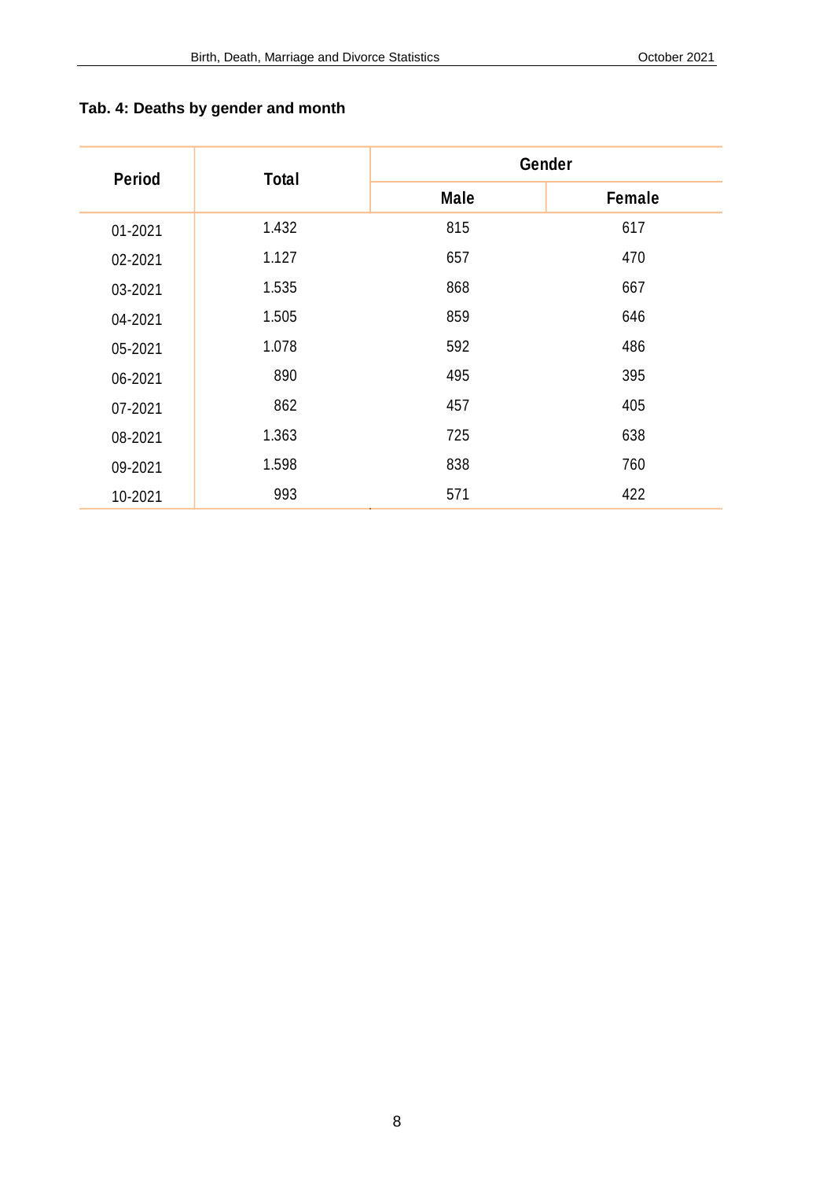| <b>Period</b> | <b>Total</b> | Gender      |               |  |
|---------------|--------------|-------------|---------------|--|
|               |              | <b>Male</b> | <b>Female</b> |  |
| 01-2021       | 1.432        | 815         | 617           |  |
| 02-2021       | 1.127        | 657         | 470           |  |
| 03-2021       | 1.535        | 868         | 667           |  |
| 04-2021       | 1.505        | 859         | 646           |  |
| 05-2021       | 1.078        | 592         | 486           |  |
| 06-2021       | 890          | 495         | 395           |  |
| 07-2021       | 862          | 457         | 405           |  |
| 08-2021       | 1.363        | 725         | 638           |  |
| 09-2021       | 1.598        | 838         | 760           |  |
| 10-2021       | 993          | 571         | 422           |  |

## <span id="page-7-0"></span>**Tab. 4: Deaths by gender and month**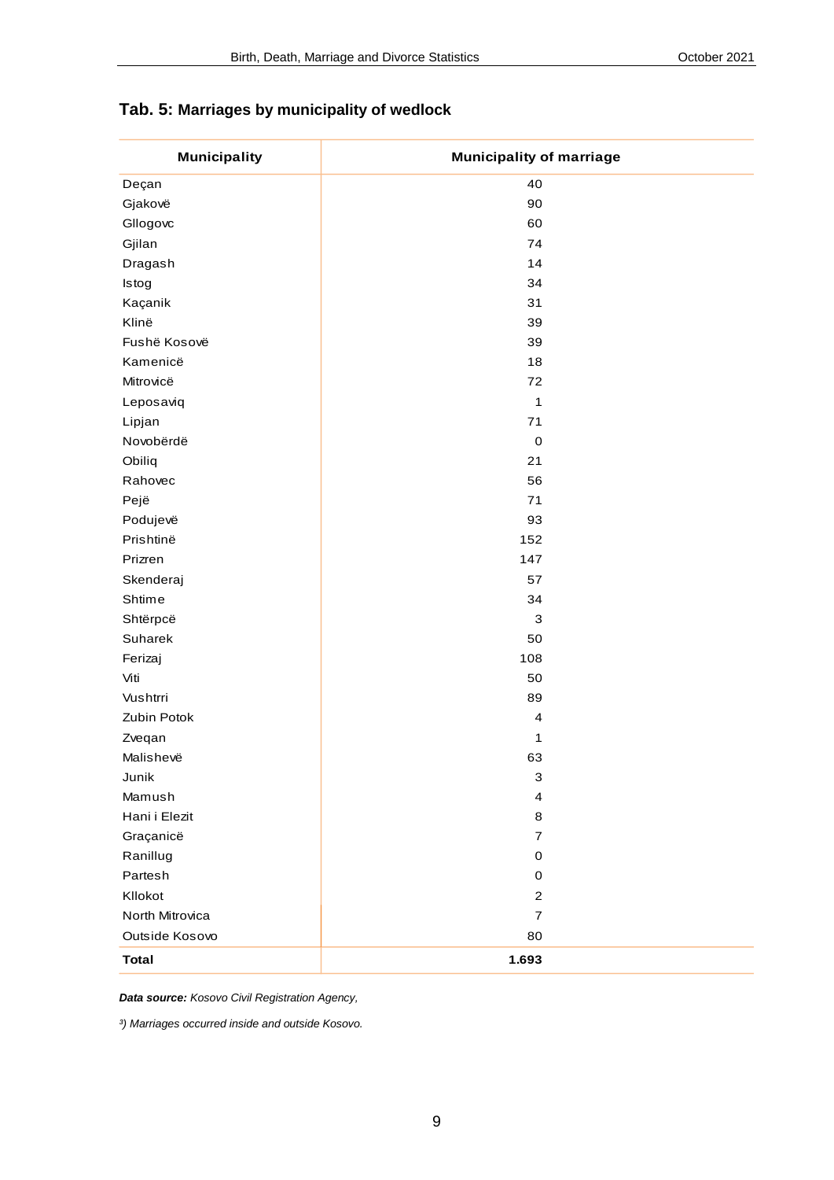#### <span id="page-8-0"></span>**Tab. 5: Marriages by municipality of wedlock**

| <b>Municipality</b> | <b>Municipality of marriage</b> |
|---------------------|---------------------------------|
| Deçan               | 40                              |
| Gjakovë             | 90                              |
| Gllogovc            | 60                              |
| Gjilan              | 74                              |
| Dragash             | 14                              |
| Istog               | 34                              |
| Kaçanik             | 31                              |
| Klinë               | 39                              |
| Fushë Kosovë        | 39                              |
| Kamenicë            | 18                              |
| Mitrovicë           | 72                              |
| Leposaviq           | $\mathbf{1}$                    |
| Lipjan              | 71                              |
| Novobërdë           | $\mathbf 0$                     |
| Obiliq              | 21                              |
| Rahovec             | 56                              |
| Pejë                | $\bf 71$                        |
| Podujevë            | 93                              |
| Prishtinë           | 152                             |
| Prizren             | 147                             |
| Skenderaj           | 57                              |
| Shtime              | 34                              |
| Shtërpcë            | $\mathsf 3$                     |
| Suharek             | 50                              |
| Ferizaj             | 108                             |
| Viti                | 50                              |
| Vushtrri            | 89                              |
| Zubin Potok         | $\overline{\mathbf{4}}$         |
| Zveqan              | 1                               |
| Malishevë           | 63                              |
| Junik               | 3                               |
| Mamush              | $\overline{\mathbf{4}}$         |
| Hani i Elezit       | 8                               |
| Graçanicë           | $\overline{7}$                  |
| Ranillug            | $\mathbf 0$                     |
| Partesh             | 0                               |
| Kllokot             | $\overline{c}$                  |
| North Mitrovica     | $\overline{7}$                  |
| Outside Kosovo      | 80                              |
| <b>Total</b>        | 1.693                           |
|                     |                                 |

*Data source: Kosovo Civil Registration Agency,*

*³) Marriages occurred inside and outside Kosovo.*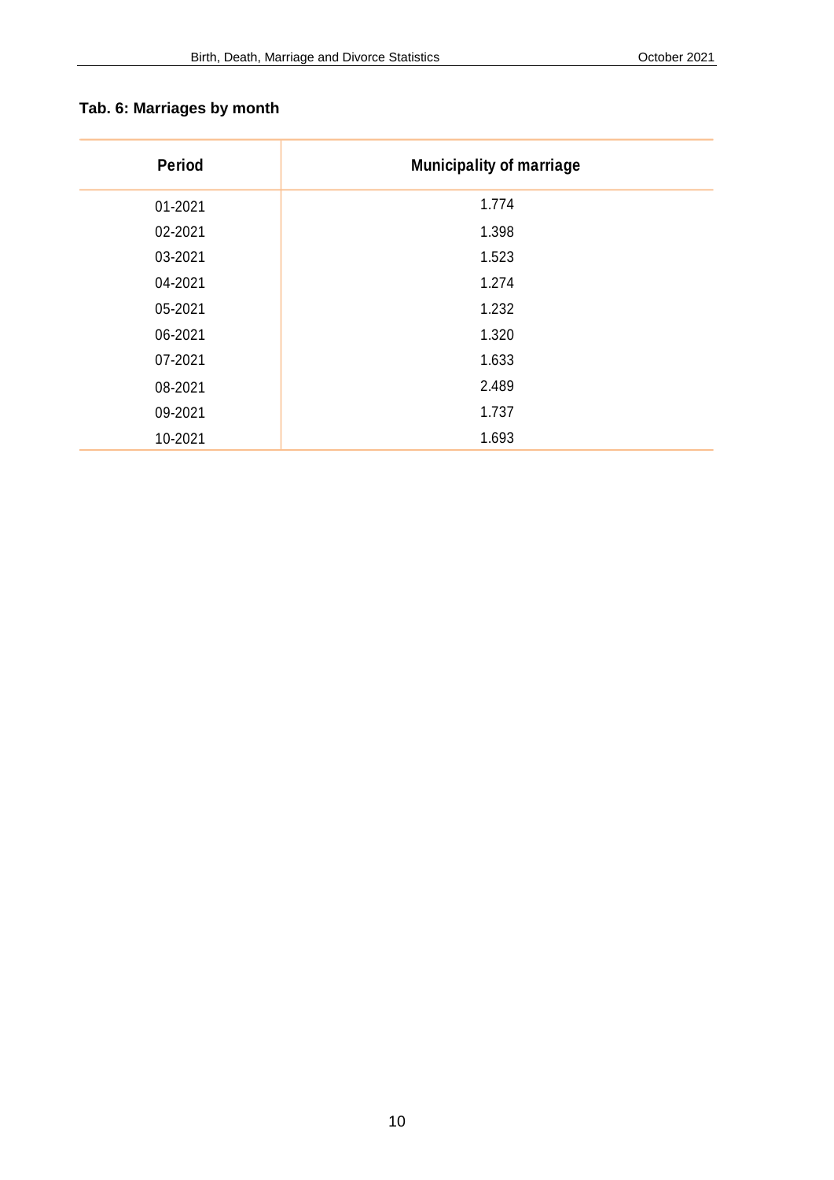# <span id="page-9-0"></span>**Tab. 6: Marriages by month**

| <b>Period</b> | <b>Municipality of marriage</b> |
|---------------|---------------------------------|
| 01-2021       | 1.774                           |
| 02-2021       | 1.398                           |
| 03-2021       | 1.523                           |
| 04-2021       | 1.274                           |
| 05-2021       | 1.232                           |
| 06-2021       | 1.320                           |
| 07-2021       | 1.633                           |
| 08-2021       | 2.489                           |
| 09-2021       | 1.737                           |
| 10-2021       | 1.693                           |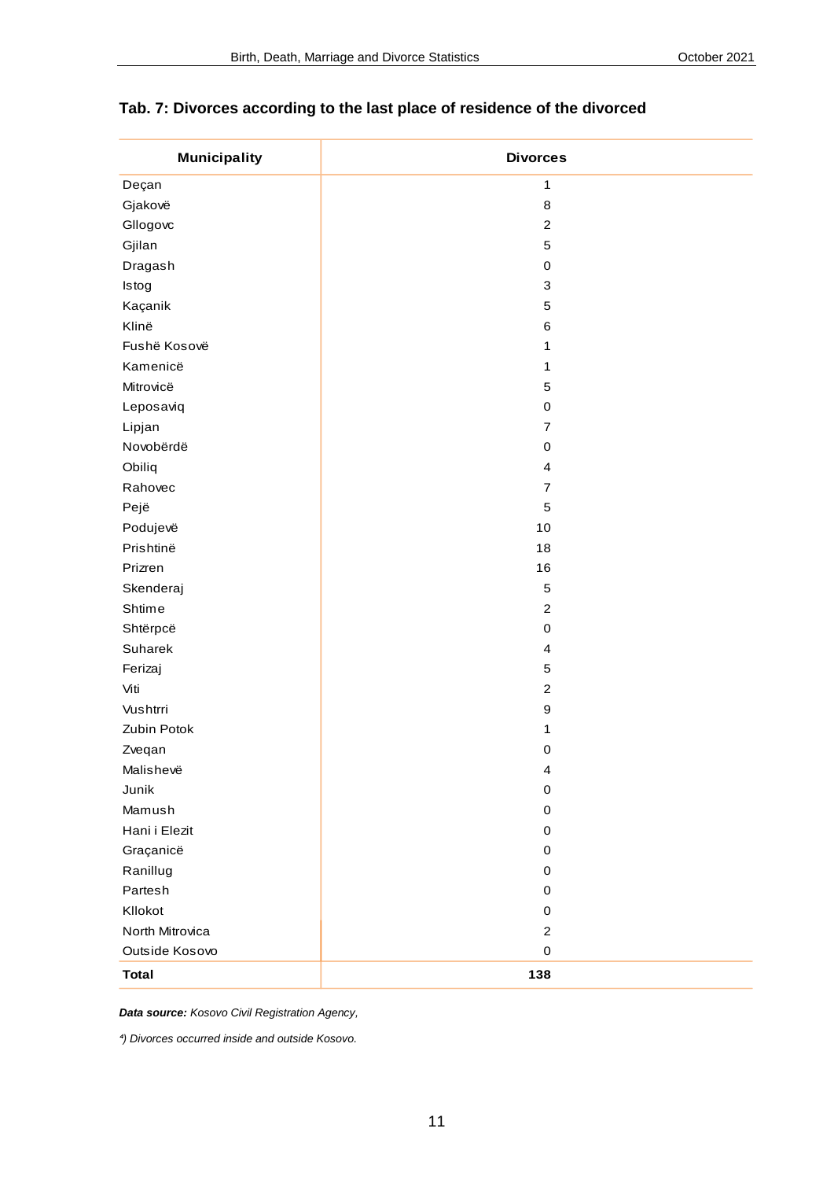| <b>Municipality</b> | <b>Divorces</b>           |
|---------------------|---------------------------|
| Deçan               | $\mathbf{1}$              |
| Gjakovë             | $\,$ 8 $\,$               |
| Gllogovc            | $\boldsymbol{2}$          |
| Gjilan              | $\mathbf 5$               |
| Dragash             | $\pmb{0}$                 |
| Istog               | $\ensuremath{\mathsf{3}}$ |
| Kaçanik             | $\mathbf 5$               |
| Klinë               | $\,6$                     |
| Fushë Kosovë        | $\mathbf{1}$              |
| Kamenicë            | 1                         |
| Mitrovicë           | $\mathbf 5$               |
| Leposaviq           | $\pmb{0}$                 |
| Lipjan              | $\overline{7}$            |
| Novobërdë           | $\pmb{0}$                 |
| Obiliq              | $\overline{\mathbf{4}}$   |
| Rahovec             | $\boldsymbol{7}$          |
| Pejë                | $\mathbf 5$               |
| Podujevë            | 10                        |
| Prishtinë           | 18                        |
| Prizren             | 16                        |
| Skenderaj           | $\mathbf 5$               |
| Shtime              | $\boldsymbol{2}$          |
| Shtërpcë            | $\pmb{0}$                 |
| Suharek             | $\overline{\mathbf{4}}$   |
| Ferizaj             | $\mathbf 5$               |
| Viti                | $\boldsymbol{2}$          |
| Vushtrri            | $\boldsymbol{9}$          |
| Zubin Potok         | 1                         |
| Zveqan              | $\pmb{0}$                 |
| Malishevë           | $\overline{\mathbf{4}}$   |
| Junik               | $\pmb{0}$                 |
| Mamush              | $\pmb{0}$                 |
| Hani i Elezit       | $\mathbf 0$               |
| Graçanicë           | $\mathbf 0$               |
| Ranillug            | $\mathbf 0$               |
| Partesh             | $\mathbf 0$               |
| Kllokot             | $\pmb{0}$                 |
| North Mitrovica     | $\boldsymbol{2}$          |
| Outside Kosovo      | $\mathbf 0$               |
| <b>Total</b>        | 138                       |

#### <span id="page-10-0"></span>**Tab. 7: Divorces according to the last place of residence of the divorced**

*Data source: Kosovo Civil Registration Agency,*

*⁴) Divorces occurred inside and outside Kosovo.*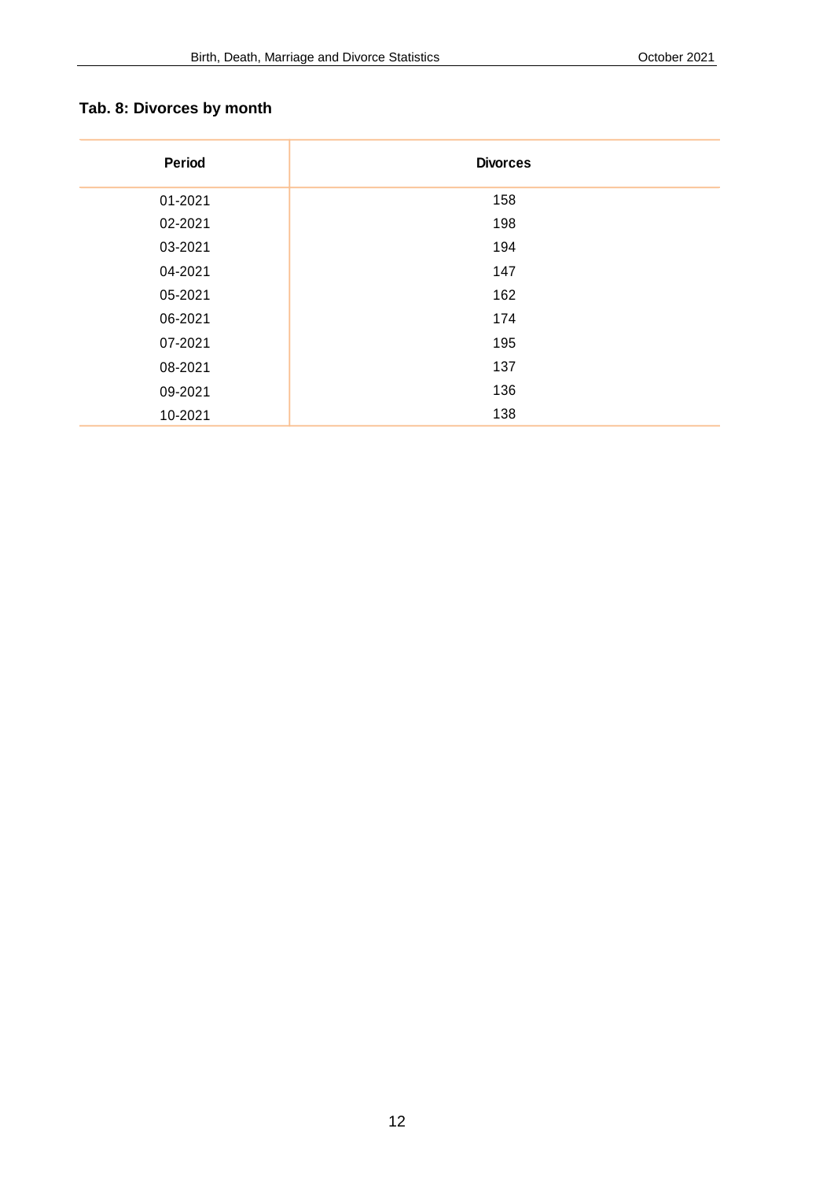# <span id="page-11-0"></span>**Tab. 8: Divorces by month**

| Period  | <b>Divorces</b> |
|---------|-----------------|
| 01-2021 | 158             |
| 02-2021 | 198             |
| 03-2021 | 194             |
| 04-2021 | 147             |
| 05-2021 | 162             |
| 06-2021 | 174             |
| 07-2021 | 195             |
| 08-2021 | 137             |
| 09-2021 | 136             |
| 10-2021 | 138             |